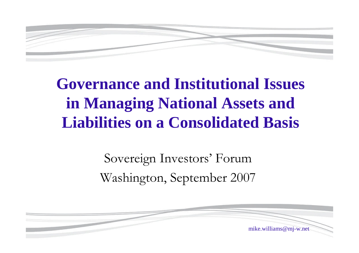

# **Governance and Institutional Issues in Managing National Assets and Liabilities on a Consolidated Basis**

Sovereign Investors' Forum Washington, September 2007

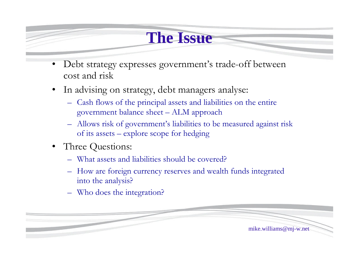### **The Issue**

- Debt strategy expresses government's trade-off between cost and risk
- In advising on strategy, debt managers analyse:
	- –Cash flows of the principal assets and liabilities on the entire government balance sheet –ALM approach
	- –Allows risk of government's liabilities to be measured against risk of its assets – explore scope for hedging
- Three Questions:
	- –What assets and liabilities should be covered?
	- –How are foreign currency reserves and wealth funds integrated into the analysis?
	- –Who does the integration?

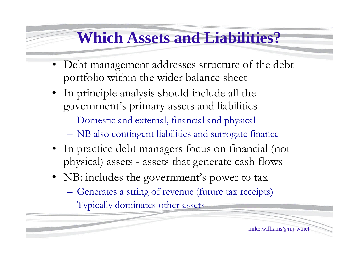### **Which Assets and Liabilities?**

- •Debt management addresses structure of the debt portfolio within the wider balance sheet
- •In principle analysis should include all the government's primary assets and liabilities
	- –Domestic and external, financial and physical
	- –NB also contingent liabilities and surrogate finance
- In practice debt managers focus on financial (not physical) assets - assets that generate cash flows
- NB: includes the government's power to tax
	- –Generates a string of revenue (future tax receipts)
	- –Typically dominates other assets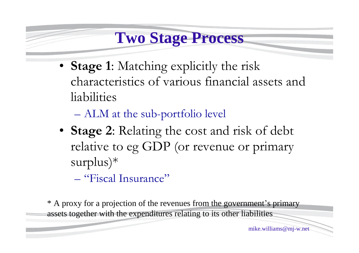### **Two Stage Process**

• **Stage 1:** Matching explicitly the risk characteristics of various financial assets and liabilities

–ALM at the sub-portfolio level

•**Stage 2**: Relating the cost and risk of debt relative to eg GDP (or revenue or primary surplus)\*

–"Fiscal Insurance"

\* A proxy for a projection of the revenues from the government's primary assets together with the expenditures relating to its other liabilities

mike.williams@mj-w.net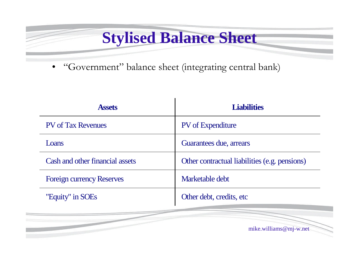# **Stylised Balance Sheet**

•"Government"balance sheet (integrating central bank)

 $\mathbf{I}$ 

| <b>Assets</b>                    | <b>Liabilities</b>                            |
|----------------------------------|-----------------------------------------------|
| <b>PV</b> of Tax Revenues        | <b>PV</b> of Expenditure                      |
| Loans                            | Guarantees due, arrears                       |
| Cash and other financial assets  | Other contractual liabilities (e.g. pensions) |
| <b>Foreign currency Reserves</b> | Marketable debt                               |
| "Equity" in SOEs                 | Other debt, credits, etc                      |
|                                  |                                               |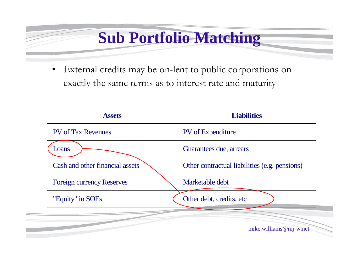# **Sub Portfolio Matching**

External credits may be on-lent to public corporations on exactly the same terms as to interest rate and maturity

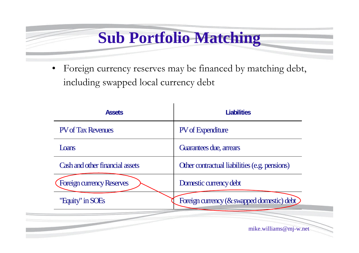# **Sub Portfolio Matching**

•Foreign currency reserves may be financed by matching debt, including swapped local currency debt

| <b>Assets</b>                   | <b>Liabilities</b>                            |
|---------------------------------|-----------------------------------------------|
| <b>PV</b> of Tax Revenues       | <b>PV</b> of Expenditure                      |
| Loans                           | Guarantees due, arrears                       |
| Cash and other financial assets | Other contractual liabilities (e.g. pensions) |
| Foreign currency Reserves       | Domestic currency debt                        |
| "Equity" in SOEs                | Foreign currency (& swapped domestic) debt    |
|                                 |                                               |

mike.williams@mj-w.net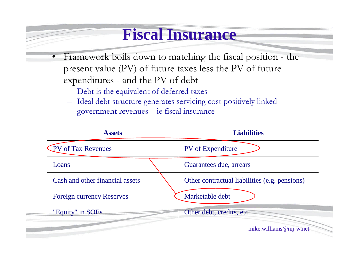#### **Fiscal Insurance**

- •Framework boils down to matching the fiscal position the present value (PV) of future taxes less the PV of future expenditures - and the PV of debt
	- –Debt is the equivalent of deferred taxes
	- –Ideal debt structure generates servicing cost positively linked government revenues –ie fiscal insurance

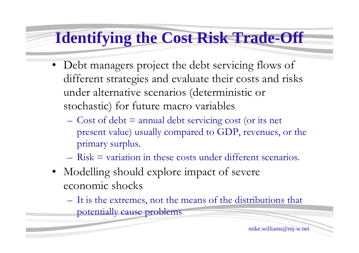# **Identifying the Cost Risk Trade-Off**

- Debt managers project the debt servicing flows of different strategies and evaluate their costs and risks under alternative scenarios (deterministic or stochastic) for future macro variables
	- $\sim$  Cost of debt = annual debt servicing cost (or its net present value) usually compared to GDP, revenues, or the primary surplus.
	- $-$  Risk  $=$  variation in these costs under different scenarios.
- Modelling should explore impact of severe economic shocks
	- –It is the extremes, not the means of the distributions that potentially cause problems

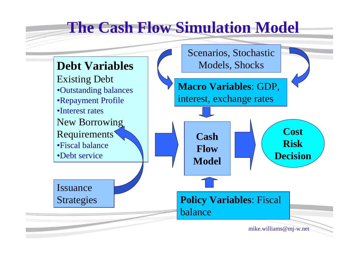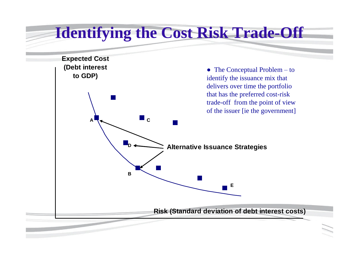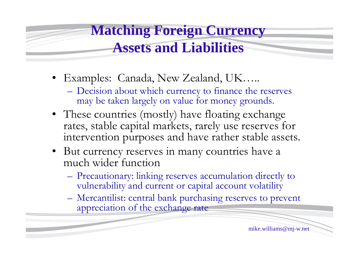#### **Matching Foreign Currency Assets and Liabilities**

- Examples: Canada, New Zealand, UK.....
	- –Decision about which currency to finance the reserves may be taken largely on value for money grounds.
- These countries (mostly) have floating exchange rates, stable capital markets, rarely use reserves for intervention purposes and have rather stable assets.
- But currency reserves in many countries have a much wider function
	- –Precautionary: linking reserves accumulation directly to vulnerability and current or capital account volatility
	- –Mercantilist: central bank purchasing reserves to prevent appreciation of the exchange rate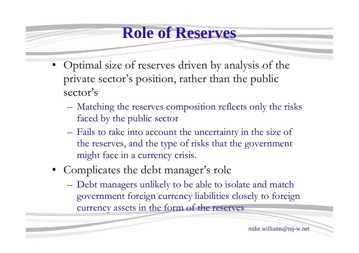#### **Role of Reserves**

- Optimal size of reserves driven by analysis of the private sector's position, rather than the public sector's
	- –Matching the reserves composition reflects only the risks faced by the public sector
	- –Fails to take into account the uncertainty in the size of the reserves, and the type of risks that the government might face in a currency crisis.
- Complicates the debt manager's role
	- –Debt managers unlikely to be able to isolate and match government foreign currency liabilities closely to foreign currency assets in the form of the reserves

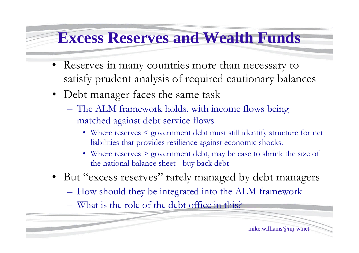#### **Excess Reserves and Wealth Funds**

- Reserves in many countries more than necessary to satisfy prudent analysis of required cautionary balances
- Debt manager faces the same task
	- –The ALM framework holds, with income flows being matched against debt service flows
		- Where reserves < government debt must still identify structure for net liabilities that provides resilience against economic shocks.
		- Where reserves > government debt, may be case to shrink the size of the national balance sheet - buy back debt
- But "excess reserves" rarely managed by debt managers
	- –How should they be integrated into the ALM framework
	- –What is the role of the debt office in this?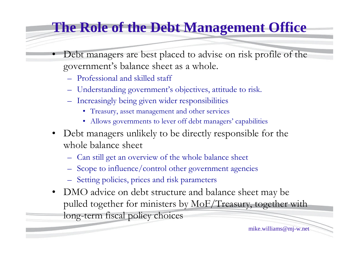#### **The Role of the Debt Management Office**

- Debt managers are best placed to advise on risk profile of the government's balance sheet as a whole.
	- –Professional and skilled staff
	- –Understanding government's objectives, attitude to risk.
	- –Increasingly being given wider responsibilities
		- •Treasury, asset management and other services
		- Allows governments to lever off debt managers' capabilities
- Debt managers unlikely to be directly responsible for the whole balance sheet
	- –Can still get an overview of the whole balance sheet
	- –Scope to influence/control other government agencies
	- –Setting policies, prices and risk parameters
- DMO advice on debt structure and balance sheet may be pulled together for ministers by MoF/Treasury, together with long-term fiscal policy choices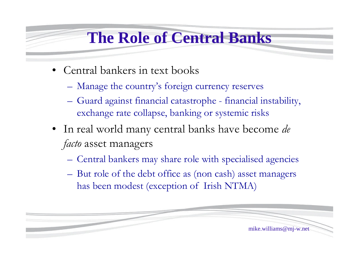# **The Role of Central Banks**

- Central bankers in text books
	- –Manage the country's foreign currency reserves
	- –Guard against financial catastrophe financial instability, exchange rate collapse, banking or systemic risks
- •In real world many central banks have become *de facto* asset managers
	- –Central bankers may share role with specialised agencies
	- –But role of the debt office as (non cash) asset managers has been modest (exception of Irish NTMA)

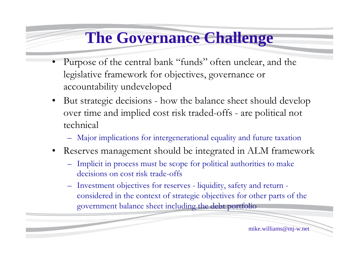# **The Governance Challenge**

- Purpose of the central bank "funds" often unclear, and the legislative framework for objectives, governance or accountability undeveloped
- But strategic decisions how the balance sheet should develop over time and implied cost risk traded-offs - are political not technical
	- –Major implications for intergenerational equality and future taxation
- Reserves management should be integrated in ALM framework
	- –Implicit in process must be scope for political authorities to make decisions on cost risk trade-offs
	- –Investment objectives for reserves liquidity, safety and return considered in the context of strategic objectives for other parts of the government balance sheet including the debt portfolio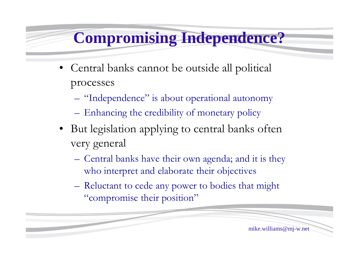# **Compromising Independence?**

- Central banks cannot be outside all political processes
	- –"Independence"is about operational autonomy
	- –Enhancing the credibility of monetary policy
- But legislation applying to central banks often very general
	- –Central banks have their own agenda; and it is they who interpret and elaborate their objectives
	- –Reluctant to cede any power to bodies that might "compromise their position"

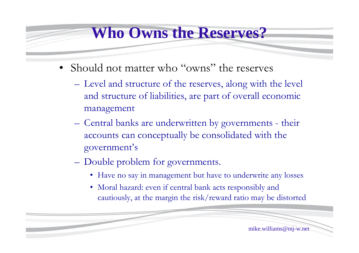#### **Who Owns the Reserves?**

- Should not matter who "owns" the reserves
	- –Level and structure of the reserves, along with the level and structure of liabilities, are part of overall economic management
	- –Central banks are underwritten by governments their accounts can conceptually be consolidated with the government's
	- –Double problem for governments.
		- •Have no say in management but have to underwrite any losses
		- •Moral hazard: even if central bank acts responsibly and cautiously, at the margin the risk/reward ratio may be distorted

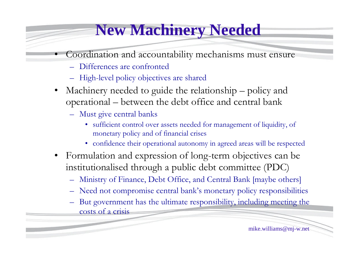### **New Machinery Needed**

- Coordination and accountability mechanisms must ensure
	- –Differences are confronted
	- –High-level policy objectives are shared
- Machinery needed to guide the relationship policy and operational –between the debt office and central bank
	- –Must give central banks
		- sufficient control over assets needed for management of liquidity, of monetary policy and of financial crises
		- confidence their operational autonomy in agreed areas will be respected
- •Formulation and expression of long-term objectives can be institutionalised through a public debt committee (PDC)
	- –Ministry of Finance, Debt Office, and Central Bank [maybe others]
	- –Need not compromise central bank's monetary policy responsibilities
	- –But government has the ultimate responsibility, including meeting the costs of a crisis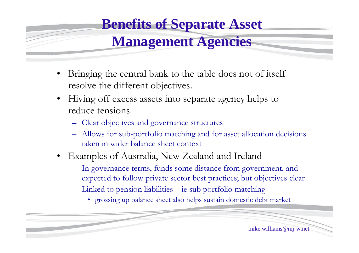### **Benefits of Separate Asset**

#### **Management Agencies**

- Bringing the central bank to the table does not of itself resolve the different objectives.
- Hiving off excess assets into separate agency helps to reduce tensions
	- –Clear objectives and governance structures
	- –Allows for sub-portfolio matching and for asset allocation decisions taken in wider balance sheet context
- •Examples of Australia, New Zealand and Ireland
	- –In governance terms, funds some distance from government, and expected to follow private sector best practices; but objectives clear
	- –Linked to pension liabilities –ie sub portfolio matching
		- •grossing up balance sheet also helps sustain domestic debt market

mike.williams@mj-w.net